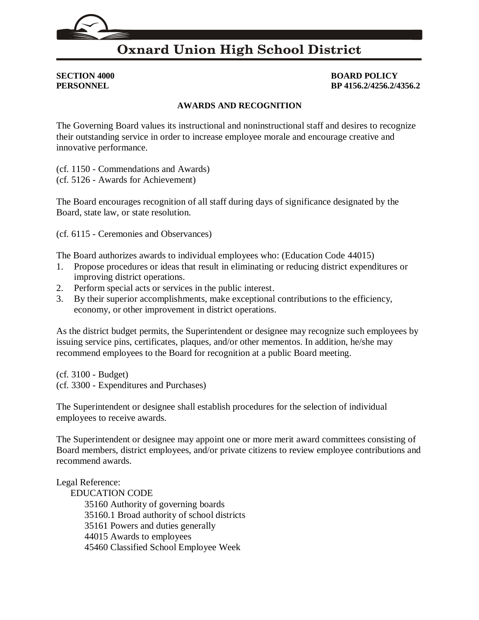## **Oxnard Union High School District**

**SECTION 4000 BOARD POLICY PERSONNEL BP 4156.2/4256.2/4356.2**

## **AWARDS AND RECOGNITION**

The Governing Board values its instructional and noninstructional staff and desires to recognize their outstanding service in order to increase employee morale and encourage creative and innovative performance.

(cf. [1150](http://gamutonline.net/displayPolicy/170622/4) - Commendations and Awards)

(cf. [5126](http://gamutonline.net/displayPolicy/171579/4) - Awards for Achievement)

The Board encourages recognition of all staff during days of significance designated by the Board, state law, or state resolution.

(cf. [6115](http://gamutonline.net/displayPolicy/170962/4) - Ceremonies and Observances)

The Board authorizes awards to individual employees who: (Education Code [44015\)](http://gamutonline.net/displayPolicy/130495/4)

- 1. Propose procedures or ideas that result in eliminating or reducing district expenditures or improving district operations.
- 2. Perform special acts or services in the public interest.
- 3. By their superior accomplishments, make exceptional contributions to the efficiency, economy, or other improvement in district operations.

As the district budget permits, the Superintendent or designee may recognize such employees by issuing service pins, certificates, plaques, and/or other mementos. In addition, he/she may recommend employees to the Board for recognition at a public Board meeting.

(cf. [3100](http://gamutonline.net/displayPolicy/352637/4) - Budget) (cf. [3300](http://gamutonline.net/displayPolicy/171207/4) - Expenditures and Purchases)

The Superintendent or designee shall establish procedures for the selection of individual employees to receive awards.

The Superintendent or designee may appoint one or more merit award committees consisting of Board members, district employees, and/or private citizens to review employee contributions and recommend awards.

Legal Reference:

EDUCATION CODE Authority of governing boards [35160.1](http://gamutonline.net/displayPolicy/131398/4) Broad authority of school districts Powers and duties generally Awards to employees Classified School Employee Week